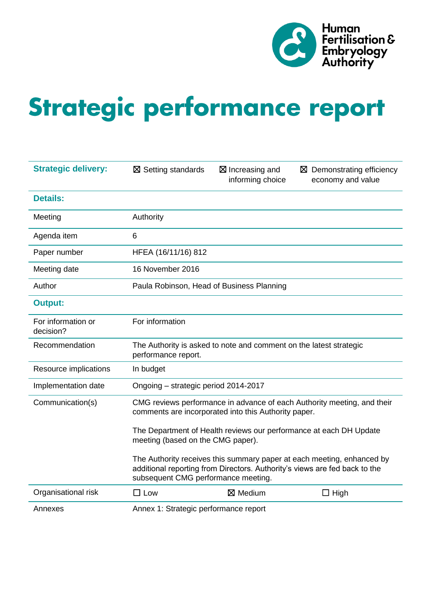

# Strategic performance report

| <b>Strategic delivery:</b>      | $\boxtimes$ Setting standards             | $\boxtimes$ Increasing and<br>informing choice                     | $\boxtimes$ Demonstrating efficiency<br>economy and value                                                                                            |
|---------------------------------|-------------------------------------------|--------------------------------------------------------------------|------------------------------------------------------------------------------------------------------------------------------------------------------|
| <b>Details:</b>                 |                                           |                                                                    |                                                                                                                                                      |
| Meeting                         | Authority                                 |                                                                    |                                                                                                                                                      |
| Agenda item                     | 6                                         |                                                                    |                                                                                                                                                      |
| Paper number                    | HFEA (16/11/16) 812                       |                                                                    |                                                                                                                                                      |
| Meeting date                    | 16 November 2016                          |                                                                    |                                                                                                                                                      |
| Author                          | Paula Robinson, Head of Business Planning |                                                                    |                                                                                                                                                      |
| <b>Output:</b>                  |                                           |                                                                    |                                                                                                                                                      |
| For information or<br>decision? | For information                           |                                                                    |                                                                                                                                                      |
| Recommendation                  | performance report.                       | The Authority is asked to note and comment on the latest strategic |                                                                                                                                                      |
| Resource implications           | In budget                                 |                                                                    |                                                                                                                                                      |
| Implementation date             | Ongoing - strategic period 2014-2017      |                                                                    |                                                                                                                                                      |
| Communication(s)                |                                           | comments are incorporated into this Authority paper.               | CMG reviews performance in advance of each Authority meeting, and their                                                                              |
|                                 | meeting (based on the CMG paper).         |                                                                    | The Department of Health reviews our performance at each DH Update                                                                                   |
|                                 | subsequent CMG performance meeting.       |                                                                    | The Authority receives this summary paper at each meeting, enhanced by<br>additional reporting from Directors. Authority's views are fed back to the |
| Organisational risk             | $\square$ Low                             | $\boxtimes$ Medium                                                 | $\Box$ High                                                                                                                                          |
| Annexes                         | Annex 1: Strategic performance report     |                                                                    |                                                                                                                                                      |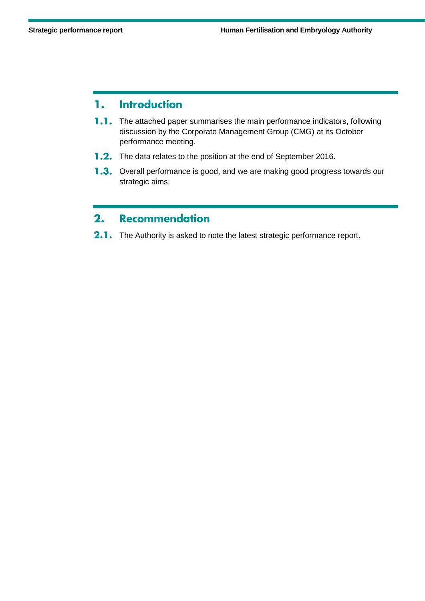#### 1. **Introduction**

- **1.1.** The attached paper summarises the main performance indicators, following discussion by the Corporate Management Group (CMG) at its October performance meeting.
- **1.2.** The data relates to the position at the end of September 2016.
- 1.3. Overall performance is good, and we are making good progress towards our strategic aims.

#### **Recommendation**  $2.$

2.1. The Authority is asked to note the latest strategic performance report.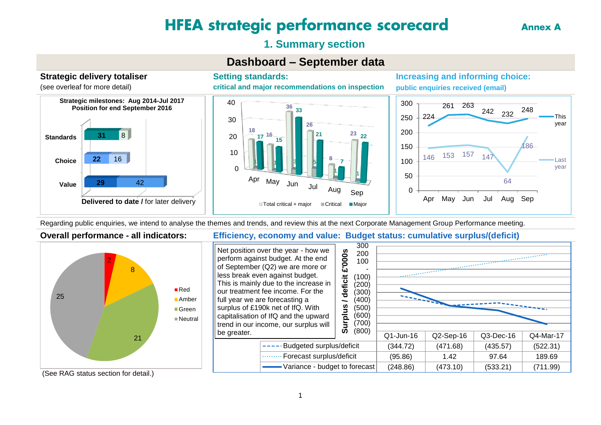## **HFEA strategic performance scorecard**

**Annex A** 

#### **1. Summary section**

#### **Dashboard – September data**

**26**

**21**

**8**

**1**

**7**

Apr May Jun Jul Aug Sep

 $\Box$  Total critical + major  $\Box$  Critical  $\Box$  Major

**Strategic delivery totaliser**  (see overleaf for more detail)



**Setting standards: critical and major recommendations on inspection**

**33**

**36**

**Increasing and informing choice: public enquiries received (email)**



Regarding public enquiries, we intend to analyse the themes and trends, and review this at the next Corporate Management Group Performance meeting.

**1 1 3 5**

 $\Omega$ 

10

20

**18**

**16 <sup>17</sup> <sup>15</sup>**

30

40



#### **Overall performance - all indicators: Efficiency, economy and value: Budget status: cumulative surplus/(deficit)**

**23 22**

**1**



(See RAG status section for detail.)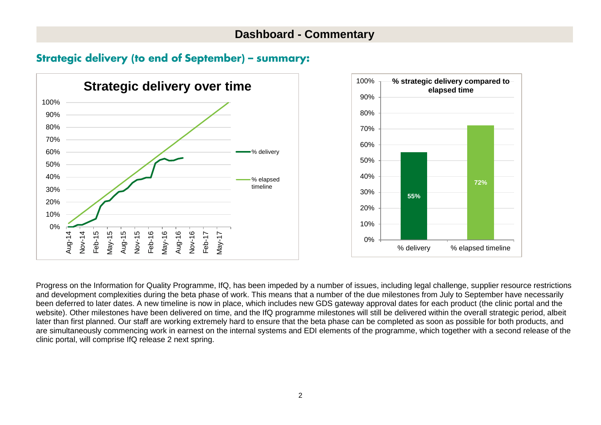#### **Dashboard - Commentary**

#### **Strategic delivery (to end of September) - summary:**





Progress on the Information for Quality Programme, IfQ, has been impeded by a number of issues, including legal challenge, supplier resource restrictions and development complexities during the beta phase of work. This means that a number of the due milestones from July to September have necessarily been deferred to later dates. A new timeline is now in place, which includes new GDS gateway approval dates for each product (the clinic portal and the website). Other milestones have been delivered on time, and the IfQ programme milestones will still be delivered within the overall strategic period, albeit later than first planned. Our staff are working extremely hard to ensure that the beta phase can be completed as soon as possible for both products, and are simultaneously commencing work in earnest on the internal systems and EDI elements of the programme, which together with a second release of the clinic portal, will comprise IfQ release 2 next spring.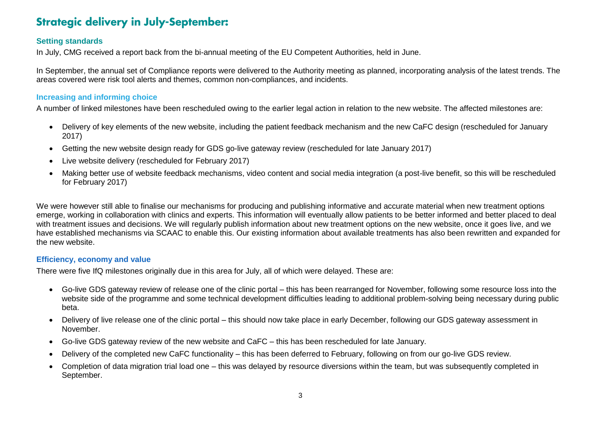### **Strategic delivery in July-September:**

#### **Setting standards**

In July, CMG received a report back from the bi-annual meeting of the EU Competent Authorities, held in June.

In September, the annual set of Compliance reports were delivered to the Authority meeting as planned, incorporating analysis of the latest trends. The areas covered were risk tool alerts and themes, common non-compliances, and incidents.

#### **Increasing and informing choice**

A number of linked milestones have been rescheduled owing to the earlier legal action in relation to the new website. The affected milestones are:

- Delivery of key elements of the new website, including the patient feedback mechanism and the new CaFC design (rescheduled for January 2017)
- Getting the new website design ready for GDS go-live gateway review (rescheduled for late January 2017)
- Live website delivery (rescheduled for February 2017)
- Making better use of website feedback mechanisms, video content and social media integration (a post-live benefit, so this will be rescheduled for February 2017)

We were however still able to finalise our mechanisms for producing and publishing informative and accurate material when new treatment options emerge, working in collaboration with clinics and experts. This information will eventually allow patients to be better informed and better placed to deal with treatment issues and decisions. We will regularly publish information about new treatment options on the new website, once it goes live, and we have established mechanisms via SCAAC to enable this. Our existing information about available treatments has also been rewritten and expanded for the new website.

#### **Efficiency, economy and value**

There were five IfQ milestones originally due in this area for July, all of which were delayed. These are:

- Go-live GDS gateway review of release one of the clinic portal this has been rearranged for November, following some resource loss into the website side of the programme and some technical development difficulties leading to additional problem-solving being necessary during public beta.
- Delivery of live release one of the clinic portal this should now take place in early December, following our GDS gateway assessment in November.
- Go-live GDS gateway review of the new website and CaFC this has been rescheduled for late January.
- Delivery of the completed new CaFC functionality this has been deferred to February, following on from our go-live GDS review.
- Completion of data migration trial load one this was delayed by resource diversions within the team, but was subsequently completed in September.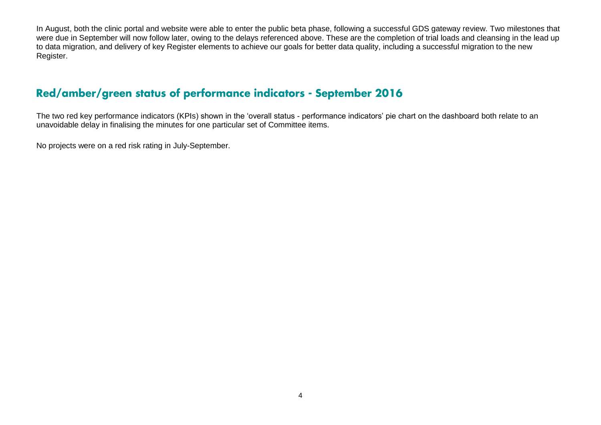In August, both the clinic portal and website were able to enter the public beta phase, following a successful GDS gateway review. Two milestones that were due in September will now follow later, owing to the delays referenced above. These are the completion of trial loads and cleansing in the lead up to data migration, and delivery of key Register elements to achieve our goals for better data quality, including a successful migration to the new Register.

#### Red/amber/green status of performance indicators - September 2016

The two red key performance indicators (KPIs) shown in the 'overall status - performance indicators' pie chart on the dashboard both relate to an unavoidable delay in finalising the minutes for one particular set of Committee items.

No projects were on a red risk rating in July-September.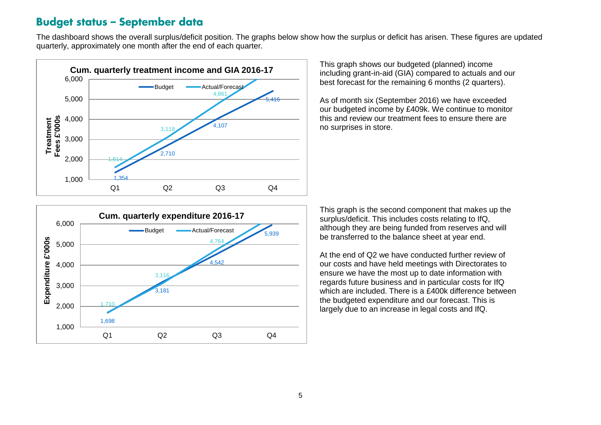#### **Budget status - September data**

The dashboard shows the overall surplus/deficit position. The graphs below show how the surplus or deficit has arisen. These figures are updated quarterly, approximately one month after the end of each quarter.



This graph shows our budgeted (planned) income including grant-in-aid (GIA) compared to actuals and our best forecast for the remaining 6 months (2 quarters).

As of month six (September 2016) we have exceeded our budgeted income by £409k. We continue to monitor this and review our treatment fees to ensure there are no surprises in store.



This graph is the second component that makes up the surplus/deficit. This includes costs relating to IfQ, although they are being funded from reserves and will be transferred to the balance sheet at year end.

At the end of Q2 we have conducted further review of our costs and have held meetings with Directorates to ensure we have the most up to date information with regards future business and in particular costs for IfQ which are included. There is a £400k difference between the budgeted expenditure and our forecast. This is largely due to an increase in legal costs and IfQ.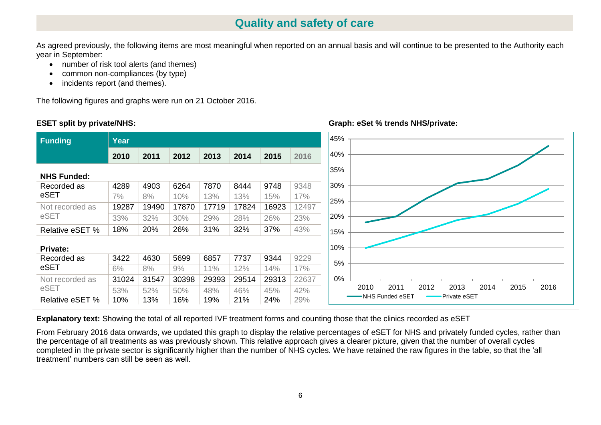#### **Quality and safety of care**

As agreed previously, the following items are most meaningful when reported on an annual basis and will continue to be presented to the Authority each year in September:

- number of risk tool alerts (and themes)
- common non-compliances (by type)
- incidents report (and themes).

The following figures and graphs were run on 21 October 2016.

#### **ESET split by private/NHS:**

eSET

eSET

eSET

eSET



#### **Graph: eSet % trends NHS/private:**

**Explanatory text:** Showing the total of all reported IVF treatment forms and counting those that the clinics recorded as eSET

From February 2016 data onwards, we updated this graph to display the relative percentages of eSET for NHS and privately funded cycles, rather than the percentage of all treatments as was previously shown. This relative approach gives a clearer picture, given that the number of overall cycles completed in the private sector is significantly higher than the number of NHS cycles. We have retained the raw figures in the table, so that the 'all treatment' numbers can still be seen as well.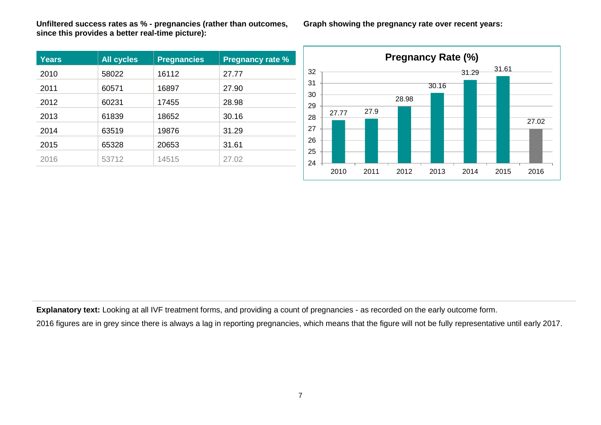**Unfiltered success rates as % - pregnancies (rather than outcomes, since this provides a better real-time picture):**

| <b>Years</b> | <b>All cycles</b> | <b>Pregnancies</b> | <b>Pregnancy rate %</b> |
|--------------|-------------------|--------------------|-------------------------|
| 2010         | 58022             | 16112              | 27.77                   |
| 2011         | 60571             | 16897              | 27.90                   |
| 2012         | 60231             | 17455              | 28.98                   |
| 2013         | 61839             | 18652              | 30.16                   |
| 2014         | 63519             | 19876              | 31.29                   |
| 2015         | 65328             | 20653              | 31.61                   |
| 2016         | 53712             | 14515              | 27.02                   |

**Graph showing the pregnancy rate over recent years:**



**Explanatory text:** Looking at all IVF treatment forms, and providing a count of pregnancies - as recorded on the early outcome form.

2016 figures are in grey since there is always a lag in reporting pregnancies, which means that the figure will not be fully representative until early 2017.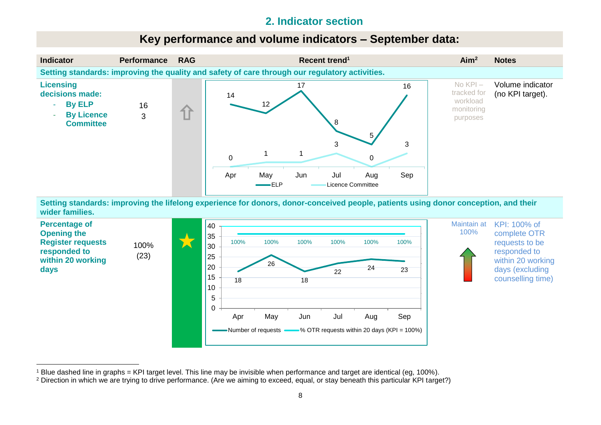#### **2. Indicator section**

#### **Key performance and volume indicators – September data:**



**Setting standards: improving the lifelong experience for donors, donor-conceived people, patients using donor conception, and their wider families.**



<sup>1</sup> Blue dashed line in graphs = KPI target level. This line may be invisible when performance and target are identical (eg, 100%).

<sup>2</sup> Direction in which we are trying to drive performance. (Are we aiming to exceed, equal, or stay beneath this particular KPI target?)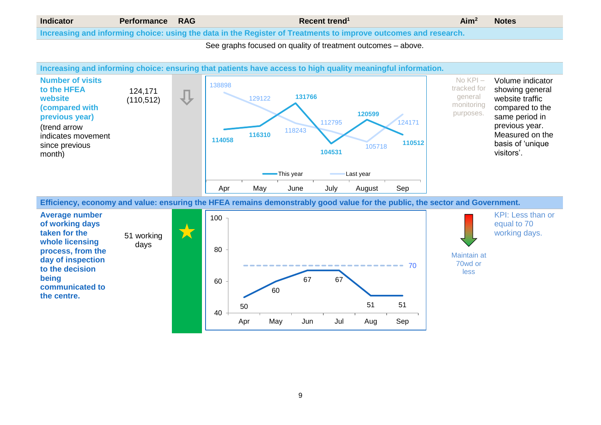#### **Indicator Performance RAG Recent trend<sup>1</sup> Aim<sup>2</sup> Notes Increasing and informing choice: using the data in the Register of Treatments to improve outcomes and research.**

See graphs focused on quality of treatment outcomes – above.



**taken for the whole licensing process, from the day of inspection to the decision being communicated to the centre.**

days



Maintain at 70wd or less

9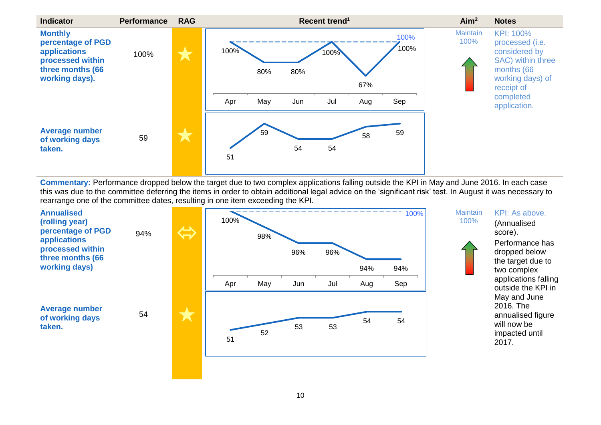

**Commentary:** Performance dropped below the target due to two complex applications falling outside the KPI in May and June 2016. In each case this was due to the committee deferring the items in order to obtain additional legal advice on the 'significant risk' test. In August it was necessary to rearrange one of the committee dates, resulting in one item exceeding the KPI.

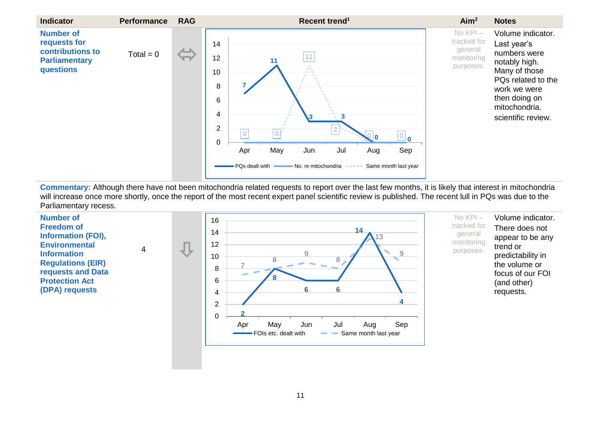

**Commentary:** Although there have not been mitochondria related requests to report over the last few months, it is likely that interest in mitochondria will increase once more shortly, once the report of the most recent expert panel scientific review is published. The recent lull in PQs was due to the Parliamentary recess.

**Number of Freedom of Information (FOI), Environmental Information Regulations (EIR) requests and Data Protection Act (DPA) requests** 



Volume indicator. There does not appear to be any trend or predictability in the volume or focus of our FOI (and other) requests.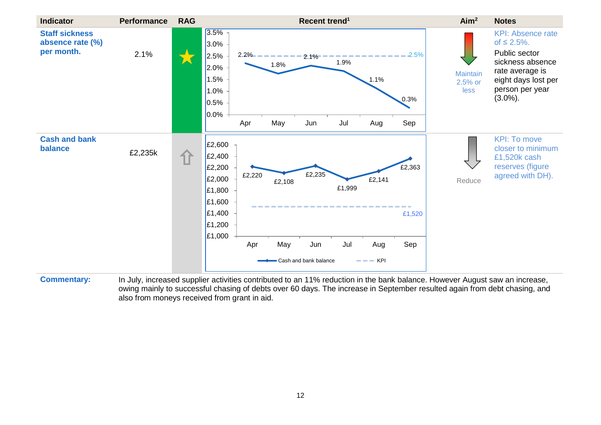

**Commentary:** In July, increased supplier activities contributed to an 11% reduction in the bank balance. However August saw an increase, owing mainly to successful chasing of debts over 60 days. The increase in September resulted again from debt chasing, and also from moneys received from grant in aid.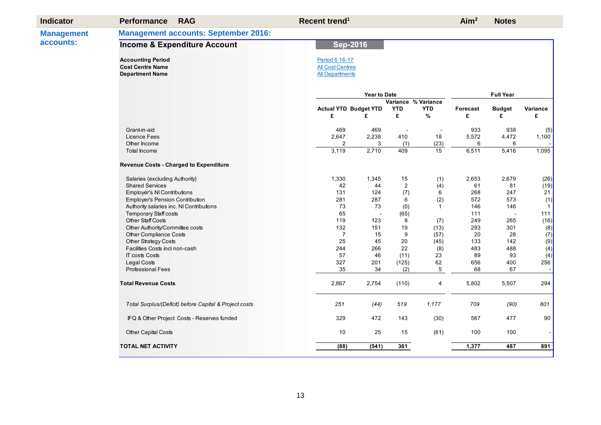| <b>Indicator</b>  | <b>Performance</b><br><b>RAG</b>                       | Recent trend <sup>1</sup>    |                     |                     |                          | Aim <sup>2</sup> | <b>Notes</b>     |              |  |  |  |  |
|-------------------|--------------------------------------------------------|------------------------------|---------------------|---------------------|--------------------------|------------------|------------------|--------------|--|--|--|--|
| <b>Management</b> | <b>Management accounts: September 2016:</b>            |                              |                     |                     |                          |                  |                  |              |  |  |  |  |
| accounts:         | <b>Income &amp; Expenditure Account</b>                | <b>Sep-2016</b>              |                     |                     |                          |                  |                  |              |  |  |  |  |
|                   | <b>Accounting Period</b>                               | Period 6 16-17               |                     |                     |                          |                  |                  |              |  |  |  |  |
|                   | <b>Cost Centre Name</b>                                | <b>All Cost Centres</b>      |                     |                     |                          |                  |                  |              |  |  |  |  |
|                   | <b>Department Name</b>                                 | <b>All Departments</b>       |                     |                     |                          |                  |                  |              |  |  |  |  |
|                   |                                                        |                              | <b>Year to Date</b> |                     |                          |                  | <b>Full Year</b> |              |  |  |  |  |
|                   |                                                        |                              |                     | Variance % Variance |                          |                  |                  |              |  |  |  |  |
|                   |                                                        | <b>Actual YTD Budget YTD</b> |                     | <b>YTD</b>          | <b>YTD</b>               | Forecast         | <b>Budget</b>    | Variance     |  |  |  |  |
|                   |                                                        | £                            | £                   | £                   | %                        | £                | £                | £            |  |  |  |  |
|                   | Grant-in-aid                                           | 469                          | 469                 | $\overline{a}$      | $\overline{\phantom{a}}$ | 933              | 938              | (5)          |  |  |  |  |
|                   | Licence Fees                                           | 2,647                        | 2,238               | 410                 | 18                       | 5,572            | 4,472            | 1,100        |  |  |  |  |
|                   | Other Income                                           | 2                            | 3                   | (1)                 | (23)                     | 6                | 6                |              |  |  |  |  |
|                   | Total Income                                           | 3,119                        | 2,710               | 409                 | 15                       | 6,511            | 5,416            | 1,095        |  |  |  |  |
|                   | Revenue Costs - Charged to Expenditure                 |                              |                     |                     |                          |                  |                  |              |  |  |  |  |
|                   | Salaries (excluding Authority)                         | 1,330                        | 1,345               | 15                  | (1)                      | 2,653            | 2,679            | (26)         |  |  |  |  |
|                   | <b>Shared Services</b>                                 | 42                           | 44                  | $\overline{2}$      | (4)                      | 61               | 81               | (19)         |  |  |  |  |
|                   | <b>Employer's NI Contributions</b>                     | 131                          | 124                 | (7)                 | 6                        | 268              | 247              | 21           |  |  |  |  |
|                   | Employer's Pension Contribution                        | 281                          | 287                 | 6                   | (2)                      | 572              | 573              | (1)          |  |  |  |  |
|                   | Authority salaries inc. NI Contributions               | 73                           | 73                  | (0)                 | $\mathbf{1}$             | 146              | 146              | $\mathbf{1}$ |  |  |  |  |
|                   | <b>Temporary Staff costs</b>                           | 65                           |                     | (65)                |                          | 111              |                  | 111          |  |  |  |  |
|                   | <b>Other Staff Costs</b>                               | 119                          | 123                 | 8                   | (7)                      | 249              | 265              | (16)         |  |  |  |  |
|                   | Other Authority/Committee costs                        | 132                          | 151                 | 19                  | (13)                     | 293              | 301              | (8)          |  |  |  |  |
|                   | Other Compliance Costs                                 | $\overline{7}$               | 15                  | 9                   | (57)                     | 20               | 28               | (7)          |  |  |  |  |
|                   | Other Strategy Costs                                   | 25                           | 45                  | 20                  | (45)                     | 133              | 142              | (9)          |  |  |  |  |
|                   | Facilities Costs incl non-cash                         | 244                          | 266                 | 22                  | (8)                      | 483              | 488              | (4)          |  |  |  |  |
|                   | <b>IT costs Costs</b>                                  | 57                           | 46                  | (11)                | 23                       | 89               | 93               | (4)          |  |  |  |  |
|                   | <b>Legal Costs</b>                                     | 327                          | 201                 | (125)               | 62                       | 656              | 400              | 256          |  |  |  |  |
|                   | <b>Professional Fees</b>                               | 35                           | 34                  | (2)                 | $\mathbf 5$              | 68               | 67               |              |  |  |  |  |
|                   | <b>Total Revenue Costs</b>                             | 2,867                        | 2,754               | (110)               | 4                        | 5,802            | 5,507            | 294          |  |  |  |  |
|                   | Total Surplus/(Deficit) before Capital & Project costs | 251                          | (44)                | 519                 | 1,177                    | 709              | (90)             | 801          |  |  |  |  |
|                   | IFQ & Other Project Costs - Reserves funded            | 329                          | 472                 | 143                 | (30)                     | 567              | 477              | 90           |  |  |  |  |
|                   | Other Capital Costs                                    | 10                           | 25                  | 15                  | (61)                     | 100              | 100              |              |  |  |  |  |
|                   | <b>TOTAL NET ACTIVITY</b>                              | (88)                         | (541)               | 361                 |                          | 1,377            | 487              | 891          |  |  |  |  |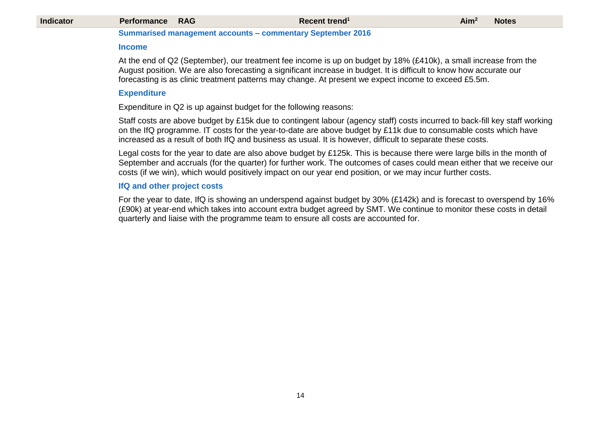| <b>Indicator</b> | <b>Performance</b>          | <b>RAG</b> | Recent trend <sup>1</sup>                                                                                                                                                                                                                                                                                                                                      | Aim <sup>2</sup> | <b>Notes</b> |
|------------------|-----------------------------|------------|----------------------------------------------------------------------------------------------------------------------------------------------------------------------------------------------------------------------------------------------------------------------------------------------------------------------------------------------------------------|------------------|--------------|
|                  |                             |            | <b>Summarised management accounts - commentary September 2016</b>                                                                                                                                                                                                                                                                                              |                  |              |
|                  | <b>Income</b>               |            |                                                                                                                                                                                                                                                                                                                                                                |                  |              |
|                  |                             |            | At the end of Q2 (September), our treatment fee income is up on budget by 18% (£410k), a small increase from the<br>August position. We are also forecasting a significant increase in budget. It is difficult to know how accurate our<br>forecasting is as clinic treatment patterns may change. At present we expect income to exceed £5.5m.                |                  |              |
|                  | <b>Expenditure</b>          |            |                                                                                                                                                                                                                                                                                                                                                                |                  |              |
|                  |                             |            | Expenditure in Q2 is up against budget for the following reasons:                                                                                                                                                                                                                                                                                              |                  |              |
|                  |                             |            | Staff costs are above budget by £15k due to contingent labour (agency staff) costs incurred to back-fill key staff working<br>on the IfQ programme. IT costs for the year-to-date are above budget by £11k due to consumable costs which have<br>increased as a result of both IfQ and business as usual. It is however, difficult to separate these costs.    |                  |              |
|                  |                             |            | Legal costs for the year to date are also above budget by £125k. This is because there were large bills in the month of<br>September and accruals (for the quarter) for further work. The outcomes of cases could mean either that we receive our<br>costs (if we win), which would positively impact on our year end position, or we may incur further costs. |                  |              |
|                  | IfQ and other project costs |            |                                                                                                                                                                                                                                                                                                                                                                |                  |              |
|                  |                             |            | For the year to date, IfQ is showing an underspend against budget by 30% (£142k) and is forecast to overspend by 16%<br>(£90k) at year-end which takes into account extra budget agreed by SMT. We continue to monitor these costs in detail<br>quarterly and liaise with the programme team to ensure all costs are accounted for.                            |                  |              |
|                  |                             |            |                                                                                                                                                                                                                                                                                                                                                                |                  |              |
|                  |                             |            |                                                                                                                                                                                                                                                                                                                                                                |                  |              |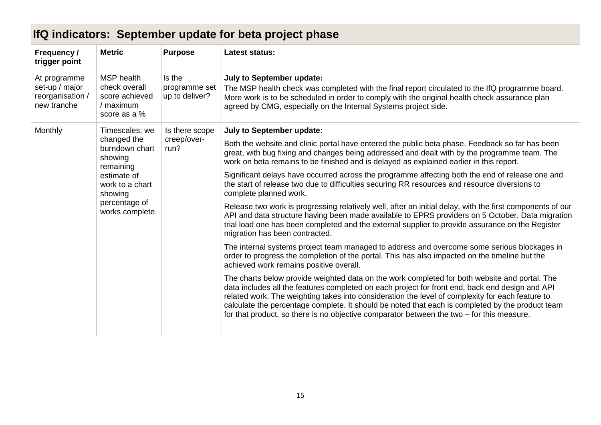| <b>Metric</b>                                                                     | <b>Purpose</b>                            | <b>Latest status:</b>                                                                                                                                                                                                                                                                                                                                                                                                                                                                                   |
|-----------------------------------------------------------------------------------|-------------------------------------------|---------------------------------------------------------------------------------------------------------------------------------------------------------------------------------------------------------------------------------------------------------------------------------------------------------------------------------------------------------------------------------------------------------------------------------------------------------------------------------------------------------|
| <b>MSP</b> health<br>check overall<br>score achieved<br>/ maximum<br>score as a % | Is the<br>programme set<br>up to deliver? | <b>July to September update:</b><br>The MSP health check was completed with the final report circulated to the IfQ programme board.<br>More work is to be scheduled in order to comply with the original health check assurance plan<br>agreed by CMG, especially on the Internal Systems project side.                                                                                                                                                                                                 |
| Timescales: we                                                                    | Is there scope                            | July to September update:                                                                                                                                                                                                                                                                                                                                                                                                                                                                               |
| changed the<br>run?<br>burndown chart<br>showing                                  | creep/over-                               | Both the website and clinic portal have entered the public beta phase. Feedback so far has been<br>great, with bug fixing and changes being addressed and dealt with by the programme team. The<br>work on beta remains to be finished and is delayed as explained earlier in this report.                                                                                                                                                                                                              |
| estimate of<br>work to a chart<br>showing                                         |                                           | Significant delays have occurred across the programme affecting both the end of release one and<br>the start of release two due to difficulties securing RR resources and resource diversions to<br>complete planned work.                                                                                                                                                                                                                                                                              |
| percentage of<br>works complete.                                                  |                                           | Release two work is progressing relatively well, after an initial delay, with the first components of our<br>API and data structure having been made available to EPRS providers on 5 October. Data migration<br>trial load one has been completed and the external supplier to provide assurance on the Register<br>migration has been contracted.                                                                                                                                                     |
|                                                                                   |                                           | The internal systems project team managed to address and overcome some serious blockages in<br>order to progress the completion of the portal. This has also impacted on the timeline but the<br>achieved work remains positive overall.                                                                                                                                                                                                                                                                |
|                                                                                   |                                           | The charts below provide weighted data on the work completed for both website and portal. The<br>data includes all the features completed on each project for front end, back end design and API<br>related work. The weighting takes into consideration the level of complexity for each feature to<br>calculate the percentage complete. It should be noted that each is completed by the product team<br>for that product, so there is no objective comparator between the two $-$ for this measure. |
|                                                                                   | remaining                                 |                                                                                                                                                                                                                                                                                                                                                                                                                                                                                                         |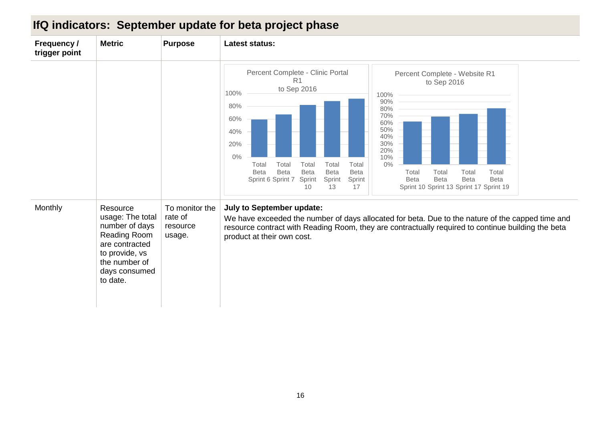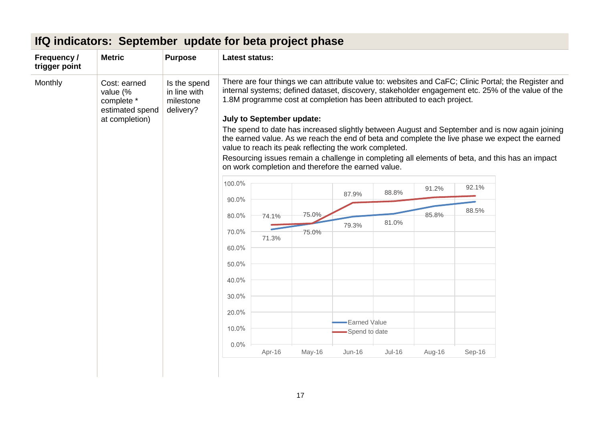| Frequency /<br>trigger point | <b>Metric</b>                                                               | <b>Purpose</b>                                         | <b>Latest status:</b> |                                  |                                                                                                              |                                      |                                                                        |        |        |                                                                                                                                                                                                                                                                                                                                                                                                                                                                                                                 |
|------------------------------|-----------------------------------------------------------------------------|--------------------------------------------------------|-----------------------|----------------------------------|--------------------------------------------------------------------------------------------------------------|--------------------------------------|------------------------------------------------------------------------|--------|--------|-----------------------------------------------------------------------------------------------------------------------------------------------------------------------------------------------------------------------------------------------------------------------------------------------------------------------------------------------------------------------------------------------------------------------------------------------------------------------------------------------------------------|
| Monthly                      | Cost: earned<br>value (%<br>complete *<br>estimated spend<br>at completion) | Is the spend<br>in line with<br>milestone<br>delivery? |                       | <b>July to September update:</b> | value to reach its peak reflecting the work completed.<br>on work completion and therefore the earned value. |                                      | 1.8M programme cost at completion has been attributed to each project. |        |        | There are four things we can attribute value to: websites and CaFC; Clinic Portal; the Register and<br>internal systems; defined dataset, discovery, stakeholder engagement etc. 25% of the value of the<br>The spend to date has increased slightly between August and September and is now again joining<br>the earned value. As we reach the end of beta and complete the live phase we expect the earned<br>Resourcing issues remain a challenge in completing all elements of beta, and this has an impact |
|                              |                                                                             |                                                        | 100.0%                |                                  |                                                                                                              | 87.9%                                | 88.8%                                                                  | 91.2%  | 92.1%  |                                                                                                                                                                                                                                                                                                                                                                                                                                                                                                                 |
|                              |                                                                             |                                                        | 90.0%<br>80.0%        | 74.1%                            | 75.0%                                                                                                        |                                      |                                                                        | 85.8%  | 88.5%  |                                                                                                                                                                                                                                                                                                                                                                                                                                                                                                                 |
|                              |                                                                             |                                                        | 70.0%                 |                                  | 75.0%                                                                                                        | 79.3%                                | 81.0%                                                                  |        |        |                                                                                                                                                                                                                                                                                                                                                                                                                                                                                                                 |
|                              |                                                                             |                                                        | 60.0%                 | 71.3%                            |                                                                                                              |                                      |                                                                        |        |        |                                                                                                                                                                                                                                                                                                                                                                                                                                                                                                                 |
|                              |                                                                             |                                                        | 50.0%                 |                                  |                                                                                                              |                                      |                                                                        |        |        |                                                                                                                                                                                                                                                                                                                                                                                                                                                                                                                 |
|                              |                                                                             |                                                        | 40.0%                 |                                  |                                                                                                              |                                      |                                                                        |        |        |                                                                                                                                                                                                                                                                                                                                                                                                                                                                                                                 |
|                              |                                                                             |                                                        | 30.0%                 |                                  |                                                                                                              |                                      |                                                                        |        |        |                                                                                                                                                                                                                                                                                                                                                                                                                                                                                                                 |
|                              |                                                                             |                                                        | 20.0%                 |                                  |                                                                                                              |                                      |                                                                        |        |        |                                                                                                                                                                                                                                                                                                                                                                                                                                                                                                                 |
|                              |                                                                             |                                                        | 10.0%                 |                                  |                                                                                                              | <b>Earned Value</b><br>Spend to date |                                                                        |        |        |                                                                                                                                                                                                                                                                                                                                                                                                                                                                                                                 |
|                              |                                                                             |                                                        | $0.0\%$               | Apr-16                           | May-16                                                                                                       | $Jun-16$                             | $Jul-16$                                                               | Aug-16 | Sep-16 |                                                                                                                                                                                                                                                                                                                                                                                                                                                                                                                 |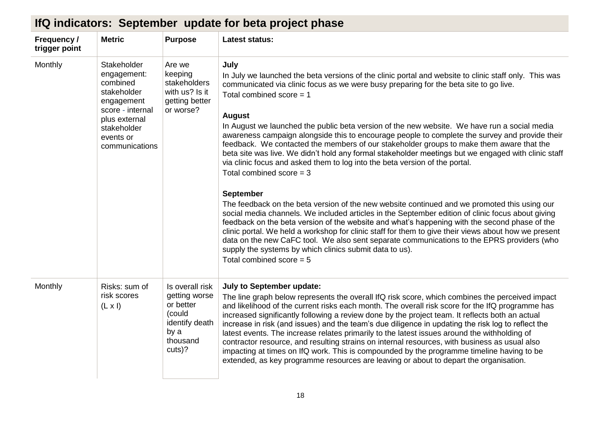| Frequency /<br>trigger point | <b>Metric</b>                                                                                                                                          | <b>Purpose</b>                                                                                          | <b>Latest status:</b>                                                                                                                                                                                                                                                                                                                                                                                                                                                                                                                                                                                                                                                                                                                                                                                                                                                                                                                                                                                                                                                                                                                                                                                                                                                                                                                                                                            |
|------------------------------|--------------------------------------------------------------------------------------------------------------------------------------------------------|---------------------------------------------------------------------------------------------------------|--------------------------------------------------------------------------------------------------------------------------------------------------------------------------------------------------------------------------------------------------------------------------------------------------------------------------------------------------------------------------------------------------------------------------------------------------------------------------------------------------------------------------------------------------------------------------------------------------------------------------------------------------------------------------------------------------------------------------------------------------------------------------------------------------------------------------------------------------------------------------------------------------------------------------------------------------------------------------------------------------------------------------------------------------------------------------------------------------------------------------------------------------------------------------------------------------------------------------------------------------------------------------------------------------------------------------------------------------------------------------------------------------|
| Monthly                      | Stakeholder<br>engagement:<br>combined<br>stakeholder<br>engagement<br>score - internal<br>plus external<br>stakeholder<br>events or<br>communications | Are we<br>keeping<br>stakeholders<br>with us? Is it<br>getting better<br>or worse?                      | July<br>In July we launched the beta versions of the clinic portal and website to clinic staff only. This was<br>communicated via clinic focus as we were busy preparing for the beta site to go live.<br>Total combined score $= 1$<br><b>August</b><br>In August we launched the public beta version of the new website. We have run a social media<br>awareness campaign alongside this to encourage people to complete the survey and provide their<br>feedback. We contacted the members of our stakeholder groups to make them aware that the<br>beta site was live. We didn't hold any formal stakeholder meetings but we engaged with clinic staff<br>via clinic focus and asked them to log into the beta version of the portal.<br>Total combined score $=$ 3<br><b>September</b><br>The feedback on the beta version of the new website continued and we promoted this using our<br>social media channels. We included articles in the September edition of clinic focus about giving<br>feedback on the beta version of the website and what's happening with the second phase of the<br>clinic portal. We held a workshop for clinic staff for them to give their views about how we present<br>data on the new CaFC tool. We also sent separate communications to the EPRS providers (who<br>supply the systems by which clinics submit data to us).<br>Total combined score $= 5$ |
| Monthly                      | Risks: sum of<br>risk scores<br>$(L \times I)$                                                                                                         | Is overall risk<br>getting worse<br>or better<br>(could<br>identify death<br>by a<br>thousand<br>cuts)? | July to September update:<br>The line graph below represents the overall IfQ risk score, which combines the perceived impact<br>and likelihood of the current risks each month. The overall risk score for the IfQ programme has<br>increased significantly following a review done by the project team. It reflects both an actual<br>increase in risk (and issues) and the team's due diligence in updating the risk log to reflect the<br>latest events. The increase relates primarily to the latest issues around the withholding of<br>contractor resource, and resulting strains on internal resources, with business as usual also<br>impacting at times on IfQ work. This is compounded by the programme timeline having to be<br>extended, as key programme resources are leaving or about to depart the organisation.                                                                                                                                                                                                                                                                                                                                                                                                                                                                                                                                                                 |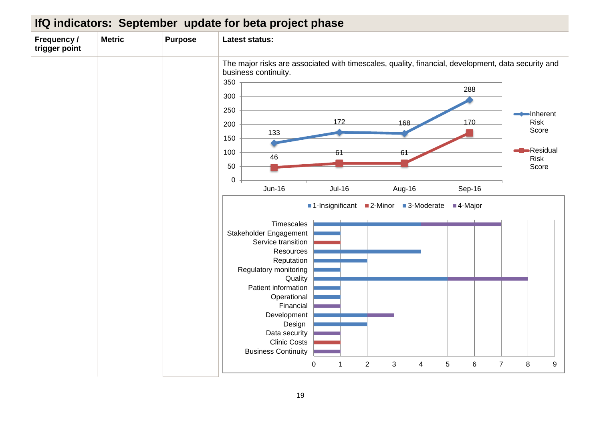| Frequency /<br>trigger point | <b>Metric</b> | <b>Purpose</b> | <b>Latest status:</b>                                                                                                                                                                                                                                                                                                                                                                                                                                                                                                      |                                                                       |
|------------------------------|---------------|----------------|----------------------------------------------------------------------------------------------------------------------------------------------------------------------------------------------------------------------------------------------------------------------------------------------------------------------------------------------------------------------------------------------------------------------------------------------------------------------------------------------------------------------------|-----------------------------------------------------------------------|
|                              |               |                | The major risks are associated with timescales, quality, financial, development, data security and<br>business continuity.<br>350<br>288<br>300<br>250<br>172<br>170<br>168<br>200<br>133<br>150<br>100<br>61<br>61<br>46<br>50<br>$\pmb{0}$<br>$Jun-16$<br><b>Jul-16</b><br>Sep-16<br>Aug-16<br>■1-Insignificant<br>3-Moderate<br>■2-Minor<br>■4-Major<br>Timescales<br>Stakeholder Engagement<br>Service transition<br>Resources<br>Reputation<br>Regulatory monitoring<br>Quality<br>Patient information<br>Operational | Inherent<br><b>Risk</b><br>Score<br>-Residual<br><b>Risk</b><br>Score |
|                              |               |                | Financial<br>Development<br>Design<br>Data security<br><b>Clinic Costs</b><br><b>Business Continuity</b><br>$\overline{7}$<br>$\pmb{0}$<br>$\overline{2}$<br>3<br>$\sqrt{5}$<br>$\,6$<br>$\overline{\mathbf{4}}$<br>1                                                                                                                                                                                                                                                                                                      | 8<br>$\boldsymbol{9}$                                                 |